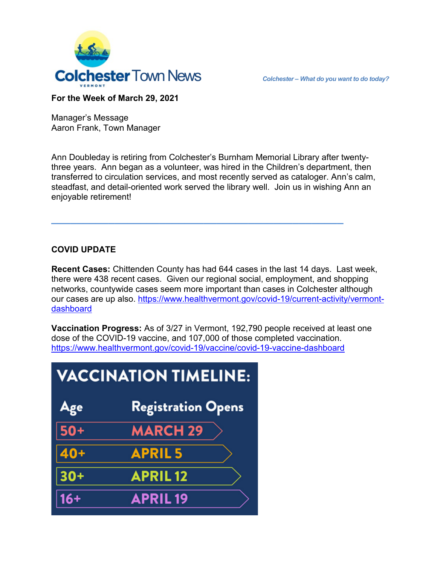

## **For the Week of March 29, 2021**

Manager's Message Aaron Frank, Town Manager

Ann Doubleday is retiring from Colchester's Burnham Memorial Library after twentythree years. Ann began as a volunteer, was hired in the Children's department, then transferred to circulation services, and most recently served as cataloger. Ann's calm, steadfast, and detail-oriented work served the library well. Join us in wishing Ann an enjoyable retirement!

**\_\_\_\_\_\_\_\_\_\_\_\_\_\_\_\_\_\_\_\_\_\_\_\_\_\_\_\_\_\_\_\_\_\_\_\_\_\_\_\_\_\_\_\_\_\_** 

## **COVID UPDATE**

**Recent Cases:** Chittenden County has had 644 cases in the last 14 days. Last week, there were 438 recent cases. Given our regional social, employment, and shopping networks, countywide cases seem more important than cases in Colchester although our cases are up also. [https://www.healthvermont.gov/covid-19/current-activity/vermont](https://www.healthvermont.gov/covid-19/current-activity/vermont-dashboard)[dashboard](https://www.healthvermont.gov/covid-19/current-activity/vermont-dashboard)

**Vaccination Progress:** As of 3/27 in Vermont, 192,790 people received at least one dose of the COVID-19 vaccine, and 107,000 of those completed vaccination. <https://www.healthvermont.gov/covid-19/vaccine/covid-19-vaccine-dashboard>

| <b>VACCINATION TIMELINE:</b> |                           |
|------------------------------|---------------------------|
| Age                          | <b>Registration Opens</b> |
| $\sqrt{50+}$                 | <b>MARCH 29</b>           |
| $40+$                        | <b>APRIL5</b>             |
| $30+$                        | <b>APRIL 12</b>           |
| $16+$                        | <b>APRIL19</b>            |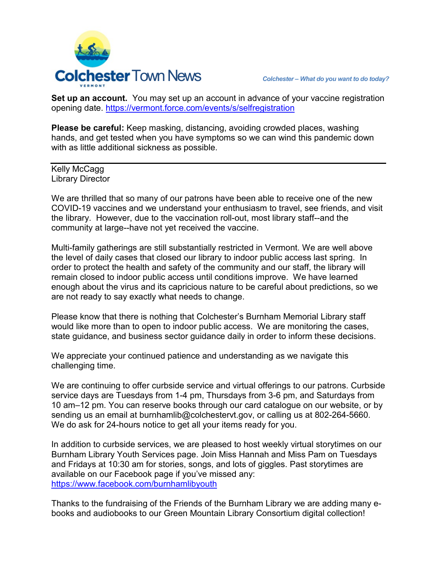

**Set up an account.** You may set up an account in advance of your vaccine registration opening date.<https://vermont.force.com/events/s/selfregistration>

**Please be careful:** Keep masking, distancing, avoiding crowded places, washing hands, and get tested when you have symptoms so we can wind this pandemic down with as little additional sickness as possible.

Kelly McCagg Library Director

We are thrilled that so many of our patrons have been able to receive one of the new COVID-19 vaccines and we understand your enthusiasm to travel, see friends, and visit the library. However, due to the vaccination roll-out, most library staff--and the community at large--have not yet received the vaccine.

Multi-family gatherings are still substantially restricted in Vermont. We are well above the level of daily cases that closed our library to indoor public access last spring. In order to protect the health and safety of the community and our staff, the library will remain closed to indoor public access until conditions improve. We have learned enough about the virus and its capricious nature to be careful about predictions, so we are not ready to say exactly what needs to change.

Please know that there is nothing that Colchester's Burnham Memorial Library staff would like more than to open to indoor public access. We are monitoring the cases, state guidance, and business sector guidance daily in order to inform these decisions.

We appreciate your continued patience and understanding as we navigate this challenging time.

We are continuing to offer curbside service and virtual offerings to our patrons. Curbside service days are Tuesdays from 1-4 pm, Thursdays from 3-6 pm, and Saturdays from 10 am–12 pm. You can reserve books through our card catalogue on our website, or by sending us an email at burnhamlib@colchestervt.gov, or calling us at 802-264-5660. We do ask for 24-hours notice to get all your items ready for you.

In addition to curbside services, we are pleased to host weekly virtual storytimes on our Burnham Library Youth Services page. Join Miss Hannah and Miss Pam on Tuesdays and Fridays at 10:30 am for stories, songs, and lots of giggles. Past storytimes are available on our Facebook page if you've missed any: <https://www.facebook.com/burnhamlibyouth>

Thanks to the fundraising of the Friends of the Burnham Library we are adding many ebooks and audiobooks to our Green Mountain Library Consortium digital collection!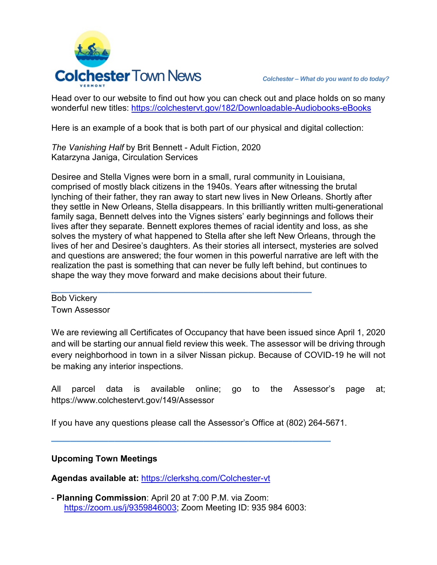

Head over to our website to find out how you can check out and place holds on so many wonderful new titles:<https://colchestervt.gov/182/Downloadable-Audiobooks-eBooks>

Here is an example of a book that is both part of our physical and digital collection:

*The Vanishing Half* by Brit Bennett - Adult Fiction, 2020 Katarzyna Janiga, Circulation Services

Desiree and Stella Vignes were born in a small, rural community in Louisiana, comprised of mostly black citizens in the 1940s. Years after witnessing the brutal lynching of their father, they ran away to start new lives in New Orleans. Shortly after they settle in New Orleans, Stella disappears. In this brilliantly written multi-generational family saga, Bennett delves into the Vignes sisters' early beginnings and follows their lives after they separate. Bennett explores themes of racial identity and loss, as she solves the mystery of what happened to Stella after she left New Orleans, through the lives of her and Desiree's daughters. As their stories all intersect, mysteries are solved and questions are answered; the four women in this powerful narrative are left with the realization the past is something that can never be fully left behind, but continues to shape the way they move forward and make decisions about their future.

Bob Vickery Town Assessor

We are reviewing all Certificates of Occupancy that have been issued since April 1, 2020 and will be starting our annual field review this week. The assessor will be driving through every neighborhood in town in a silver Nissan pickup. Because of COVID-19 he will not be making any interior inspections.

All parcel data is available online; go to the Assessor's page at; https://www.colchestervt.gov/149/Assessor

If you have any questions please call the Assessor's Office at (802) 264-5671.

**\_\_\_\_\_\_\_\_\_\_\_\_\_\_\_\_\_\_\_\_\_\_\_\_\_\_\_\_\_\_\_\_\_\_\_\_\_\_\_\_\_\_\_\_**

## **Upcoming Town Meetings**

**Agendas available at:** <https://clerkshq.com/Colchester-vt>

- **Planning Commission**: April 20 at 7:00 P.M. via Zoom: [https://zoom.us/j/9359846003;](https://zoom.us/j/9359846003) Zoom Meeting ID: 935 984 6003:

**\_\_\_\_\_\_\_\_\_\_\_\_\_\_\_\_\_\_\_\_\_\_\_\_\_\_\_\_\_\_\_\_\_\_\_\_\_\_\_\_\_**